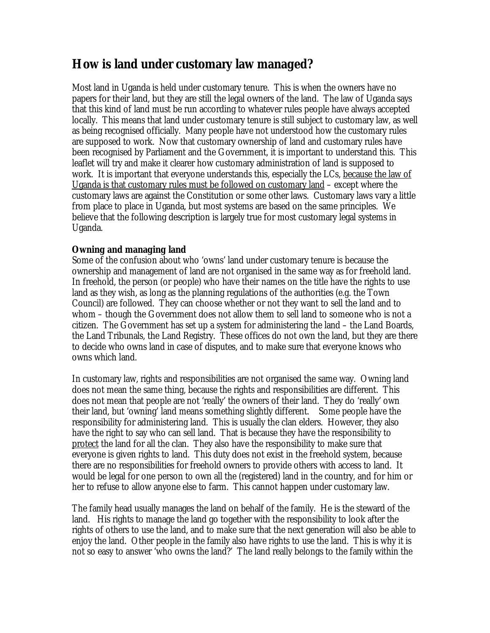# **How is land under customary law managed?**

Most land in Uganda is held under customary tenure. This is when the owners have no papers for their land, but they are still the legal owners of the land. The law of Uganda says that this kind of land must be run according to whatever rules people have always accepted locally. This means that land under customary tenure is still subject to customary law, as well as being recognised officially. Many people have not understood how the customary rules are supposed to work. Now that customary ownership of land and customary rules have been recognised by Parliament and the Government, it is important to understand this. This leaflet will try and make it clearer how customary administration of land is supposed to work. It is important that everyone understands this, especially the LCs, because the law of Uganda is that customary rules must be followed on customary land – except where the customary laws are against the Constitution or some other laws. Customary laws vary a little from place to place in Uganda, but most systems are based on the same principles. We believe that the following description is largely true for most customary legal systems in Uganda.

## **Owning and managing land**

Some of the confusion about who 'owns' land under customary tenure is because the ownership and management of land are not organised in the same way as for freehold land. In freehold, the person (or people) who have their names on the title have the rights to use land as they wish, as long as the planning regulations of the authorities (e.g. the Town Council) are followed. They can choose whether or not they want to sell the land and to whom – though the Government does not allow them to sell land to someone who is not a citizen. The Government has set up a system for administering the land – the Land Boards, the Land Tribunals, the Land Registry. These offices do not own the land, but they are there to decide who owns land in case of disputes, and to make sure that everyone knows who owns which land.

In customary law, rights and responsibilities are not organised the same way. Owning land does not mean the same thing, because the rights and responsibilities are different. This does not mean that people are not 'really' the owners of their land. They do 'really' own their land, but 'owning' land means something slightly different. Some people have the responsibility for administering land. This is usually the clan elders. However, they also have the right to say who can sell land. That is because they have the responsibility to protect the land for all the clan. They also have the responsibility to make sure that everyone is given rights to land. This duty does not exist in the freehold system, because there are no responsibilities for freehold owners to provide others with access to land. It would be legal for one person to own all the (registered) land in the country, and for him or her to refuse to allow anyone else to farm. This cannot happen under customary law.

The family head usually manages the land on behalf of the family. He is the steward of the land. His rights to manage the land go together with the responsibility to look after the rights of others to use the land, and to make sure that the next generation will also be able to enjoy the land. Other people in the family also have rights to use the land. This is why it is not so easy to answer 'who owns the land?' The land really belongs to the family within the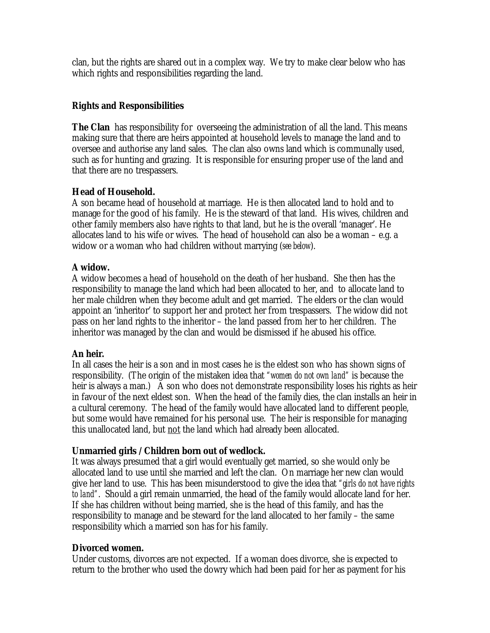clan, but the rights are shared out in a complex way. We try to make clear below who has which rights and responsibilities regarding the land.

## **Rights and Responsibilities**

**The Clan** has responsibility for overseeing the administration of all the land. This means making sure that there are heirs appointed at household levels to manage the land and to oversee and authorise any land sales. The clan also owns land which is communally used, such as for hunting and grazing. It is responsible for ensuring proper use of the land and that there are no trespassers.

## **Head of Household.**

A son became head of household at marriage. He is then allocated land to hold and to manage for the good of his family. He is the steward of that land. His wives, children and other family members also have rights to that land, but he is the overall 'manager'. He allocates land to his wife or wives. The head of household can also be a woman – e.g. a widow or a woman who had children without marrying (*see below*).

## **A widow.**

A widow becomes a head of household on the death of her husband. She then has the responsibility to manage the land which had been allocated to her, and to allocate land to her male children when they become adult and get married. The elders or the clan would appoint an 'inheritor' to support her and protect her from trespassers. The widow did not pass on her land rights to the inheritor – the land passed from her to her children. The inheritor was managed by the clan and would be dismissed if he abused his office.

## **An heir.**

In all cases the heir is a son and in most cases he is the eldest son who has shown signs of responsibility. (The origin of the mistaken idea that *"women do not own land"* is because the heir is always a man.) A son who does not demonstrate responsibility loses his rights as heir in favour of the next eldest son. When the head of the family dies, the clan installs an heir in a cultural ceremony. The head of the family would have allocated land to different people, but some would have remained for his personal use. The heir is responsible for managing this unallocated land, but not the land which had already been allocated.

## **Unmarried girls /Children born out of wedlock.**

It was always presumed that a girl would eventually get married, so she would only be allocated land to use until she married and left the clan. On marriage her new clan would give her land to use. This has been misunderstood to give the idea that *"girls do not have rights to land"*. Should a girl remain unmarried, the head of the family would allocate land for her. If she has children without being married, she is the head of this family, and has the responsibility to manage and be steward for the land allocated to her family – the same responsibility which a married son has for his family.

## **Divorced women.**

Under customs, divorces are not expected. If a woman does divorce, she is expected to return to the brother who used the dowry which had been paid for her as payment for his